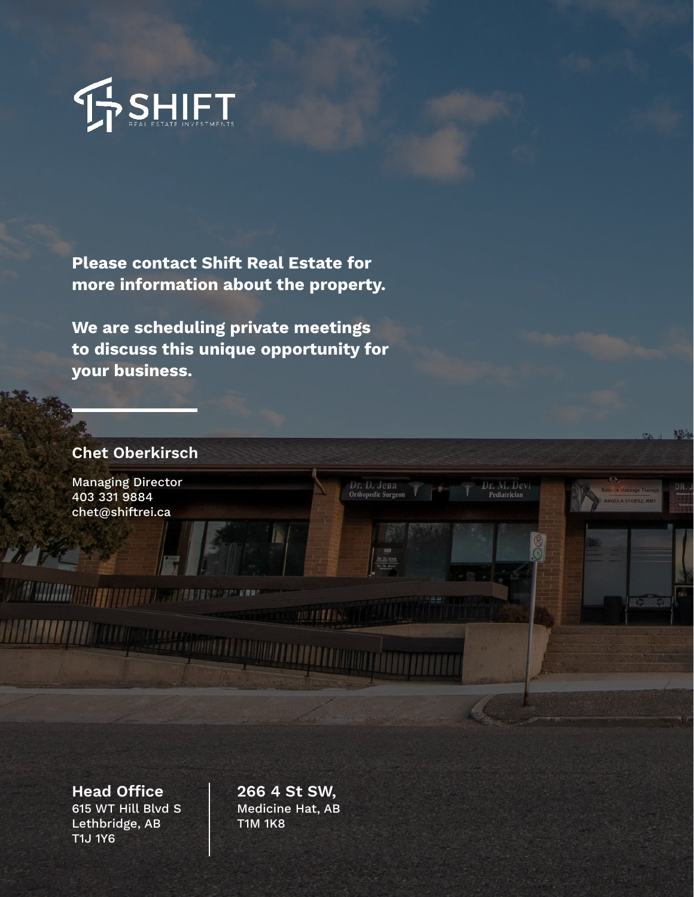

Please contact Shift Real Estate for more information about the property.

We are scheduling private meetings to discuss this unique opportunity for your business.

**MINIMAL** 

#### Chet Oberkirsch

Managing Director 403 331 9884 chet@shiftrei.ca

<u> Al Million de programma d</u>

Head Office 266 4 St SW, 615 WT Hill Blvd S Lethbridge, AB T1J 1Y6

Medicine Hat, AB T1M 1K8

u u pe

Dr. D. Jena<br>Orthopedic Surgeo

Dr. M. Devi<br>Pediatrician

勝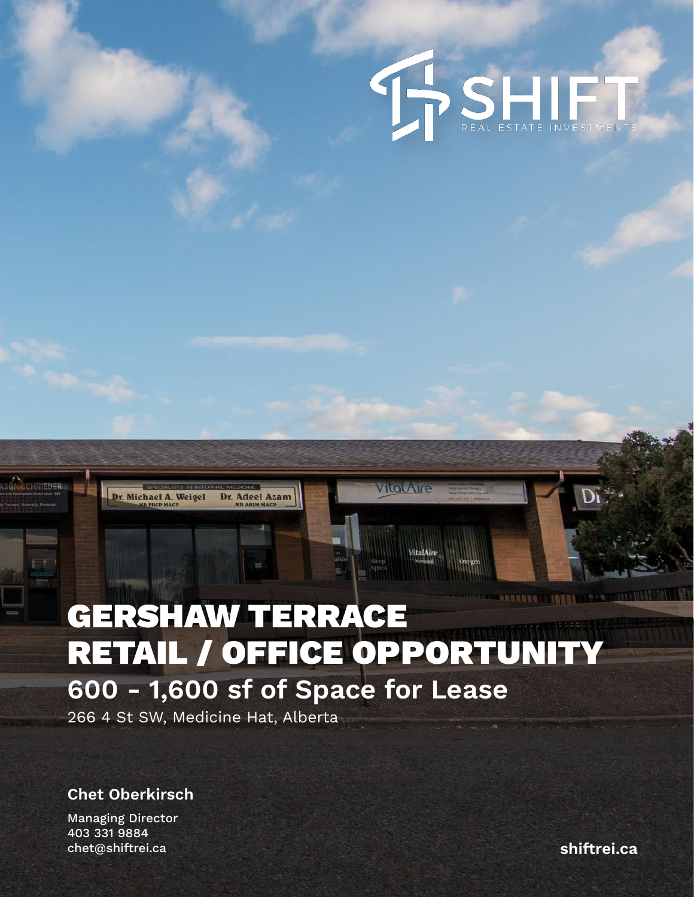

### **ARREST INNING TERR** GERSHAW TERRACE RETAIL / OFFICE OPPORTUNITY 600 - 1,600 sf of Space for Lease

VILOUATIC

266 4 St SW, Medicine Hat, Alberta

Dr. Michael A. Weigel

Dr. Adeel Azam

Chet Oberkirsch

Managing Director 403 331 9884 chet@shiftrei.ca shiftrei.ca shiftrei.ca shiftrei.ca

HNIEDER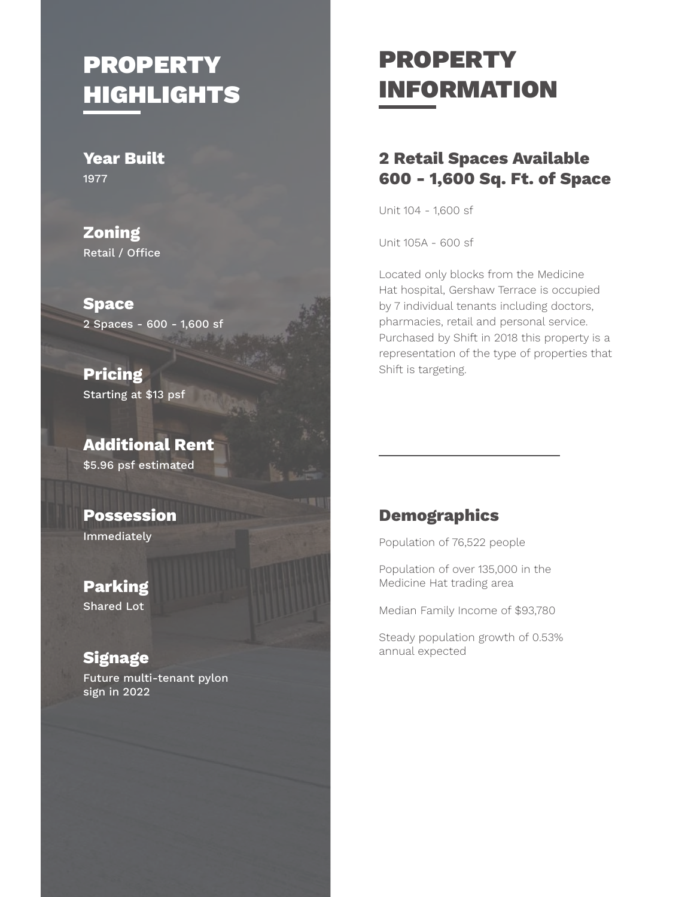# **PROPERTY HIGHLIGHTS**

Year Built 1977

Zoning Retail / Office

Space 2 Spaces - 600 - 1,600 sf

Pricing Starting at \$13 psf

Additional Rent \$5.96 psf estimated

Possession Immediately

Parking Shared Lot

### **Signage**

Future multi-tenant pylon sign in 2022

# PROPERTY INFORMATION

### 2 Retail Spaces Available 600 - 1,600 Sq. Ft. of Space

Unit 104 - 1,600 sf

Unit 105A - 600 sf

Located only blocks from the Medicine Hat hospital, Gershaw Terrace is occupied by 7 individual tenants including doctors, pharmacies, retail and personal service. Purchased by Shift in 2018 this property is a representation of the type of properties that Shift is targeting.

#### **Demographics**

Population of 76,522 people

Population of over 135,000 in the Medicine Hat trading area

Median Family Income of \$93,780

Steady population growth of 0.53% annual expected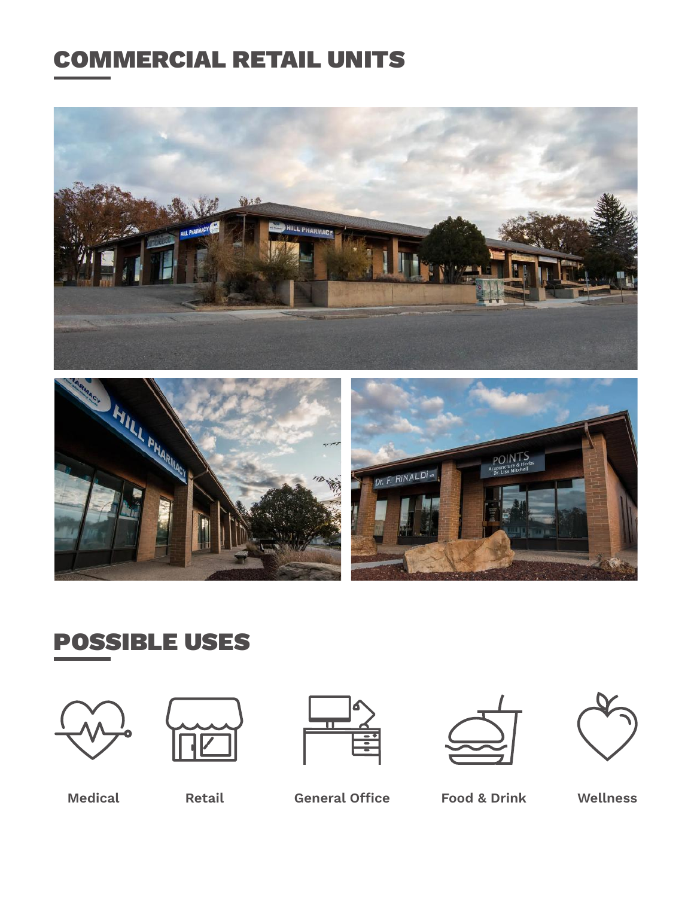### COMMERCIAL RETAIL UNITS







## POSSIBLE USES











Medical Retail General Office Food & Drink Wellness